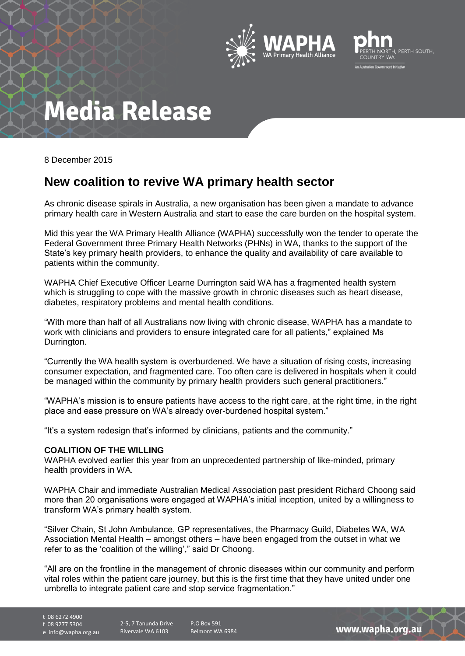



# **Media Release**

8 December 2015

### **New coalition to revive WA primary health sector**

As chronic disease spirals in Australia, a new organisation has been given a mandate to advance primary health care in Western Australia and start to ease the care burden on the hospital system.

Mid this year the WA Primary Health Alliance (WAPHA) successfully won the tender to operate the Federal Government three Primary Health Networks (PHNs) in WA, thanks to the support of the State's key primary health providers, to enhance the quality and availability of care available to patients within the community.

WAPHA Chief Executive Officer Learne Durrington said WA has a fragmented health system which is struggling to cope with the massive growth in chronic diseases such as heart disease. diabetes, respiratory problems and mental health conditions.

"With more than half of all Australians now living with chronic disease, WAPHA has a mandate to work with clinicians and providers to ensure integrated care for all patients," explained Ms Durrington.

"Currently the WA health system is overburdened. We have a situation of rising costs, increasing consumer expectation, and fragmented care. Too often care is delivered in hospitals when it could be managed within the community by primary health providers such general practitioners."

"WAPHA's mission is to ensure patients have access to the right care, at the right time, in the right place and ease pressure on WA's already over-burdened hospital system."

"It's a system redesign that's informed by clinicians, patients and the community."

#### **COALITION OF THE WILLING**

WAPHA evolved earlier this year from an unprecedented partnership of like-minded, primary health providers in WA.

WAPHA Chair and immediate Australian Medical Association past president Richard Choong said more than 20 organisations were engaged at WAPHA's initial inception, united by a willingness to transform WA's primary health system.

"Silver Chain, St John Ambulance, GP representatives, the Pharmacy Guild, Diabetes WA, WA Association Mental Health – amongst others – have been engaged from the outset in what we refer to as the 'coalition of the willing'," said Dr Choong.

"All are on the frontline in the management of chronic diseases within our community and perform vital roles within the patient care journey, but this is the first time that they have united under one umbrella to integrate patient care and stop service fragmentation."

t 08 6272 4900 f 08 9277 5304

e info@wapha.org.au

2-5, 7 Tanunda Drive Rivervale WA 6103

P.O Box 591 Belmont WA 6984

www.wapha.org.au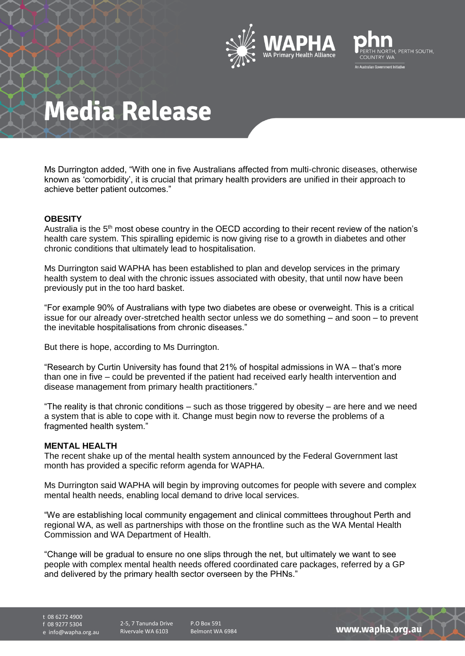



### **Media Release**

Ms Durrington added, "With one in five Australians affected from multi-chronic diseases, otherwise known as 'comorbidity', it is crucial that primary health providers are unified in their approach to achieve better patient outcomes."

#### **OBESITY**

Australia is the 5<sup>th</sup> most obese country in the OECD according to their recent review of the nation's health care system. This spiralling epidemic is now giving rise to a growth in diabetes and other chronic conditions that ultimately lead to hospitalisation.

Ms Durrington said WAPHA has been established to plan and develop services in the primary health system to deal with the chronic issues associated with obesity, that until now have been previously put in the too hard basket.

"For example 90% of Australians with type two diabetes are obese or overweight. This is a critical issue for our already over-stretched health sector unless we do something – and soon – to prevent the inevitable hospitalisations from chronic diseases."

But there is hope, according to Ms Durrington.

"Research by Curtin University has found that 21% of hospital admissions in WA – that's more than one in five – could be prevented if the patient had received early health intervention and disease management from primary health practitioners."

"The reality is that chronic conditions – such as those triggered by obesity – are here and we need a system that is able to cope with it. Change must begin now to reverse the problems of a fragmented health system."

#### **MENTAL HEALTH**

The recent shake up of the mental health system announced by the Federal Government last month has provided a specific reform agenda for WAPHA.

Ms Durrington said WAPHA will begin by improving outcomes for people with severe and complex mental health needs, enabling local demand to drive local services.

"We are establishing local community engagement and clinical committees throughout Perth and regional WA, as well as partnerships with those on the frontline such as the WA Mental Health Commission and WA Department of Health.

"Change will be gradual to ensure no one slips through the net, but ultimately we want to see people with complex mental health needs offered coordinated care packages, referred by a GP and delivered by the primary health sector overseen by the PHNs."

t 08 6272 4900

f 08 9277 5304

e info@wapha.org.au

2-5, 7 Tanunda Drive Rivervale WA 6103

P.O Box 591 Belmont WA 6984

www.wapha.org.au